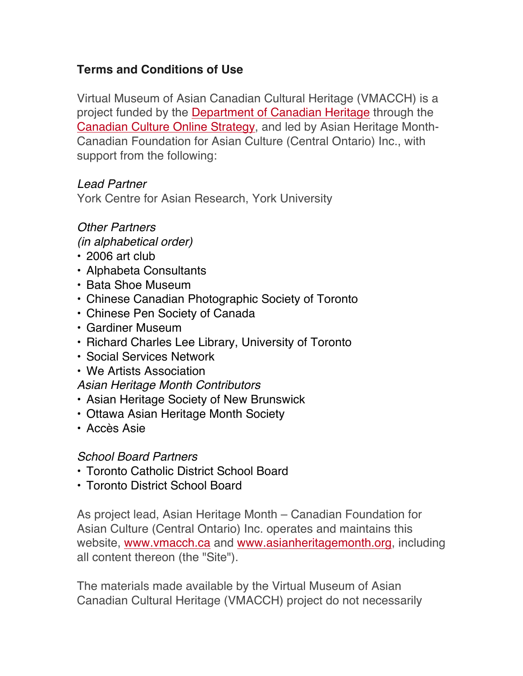# **Terms and Conditions of Use**

Virtual Museum of Asian Canadian Cultural Heritage (VMACCH) is a project funded by the Department of Canadian Heritage through the Canadian Culture Online Strategy, and led by Asian Heritage Month-Canadian Foundation for Asian Culture (Central Ontario) Inc., with support from the following:

## *Lead Partner*

York Centre for Asian Research, York University

# *Other Partners*

*(in alphabetical order)*

- 2006 art club
- Alphabeta Consultants
- Bata Shoe Museum
- Chinese Canadian Photographic Society of Toronto
- Chinese Pen Society of Canada
- Gardiner Museum
- Richard Charles Lee Library, University of Toronto
- Social Services Network
- We Artists Association

*Asian Heritage Month Contributors*

- Asian Heritage Society of New Brunswick
- Ottawa Asian Heritage Month Society
- Accès Asie

#### *School Board Partners*

- Toronto Catholic District School Board
- Toronto District School Board

As project lead, Asian Heritage Month – Canadian Foundation for Asian Culture (Central Ontario) Inc. operates and maintains this website, www.vmacch.ca and www.asianheritagemonth.org, including all content thereon (the "Site").

The materials made available by the Virtual Museum of Asian Canadian Cultural Heritage (VMACCH) project do not necessarily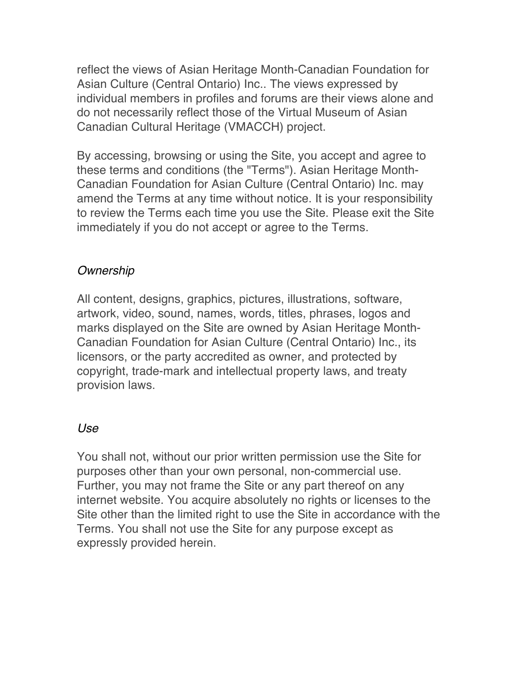reflect the views of Asian Heritage Month-Canadian Foundation for Asian Culture (Central Ontario) Inc.. The views expressed by individual members in profiles and forums are their views alone and do not necessarily reflect those of the Virtual Museum of Asian Canadian Cultural Heritage (VMACCH) project.

By accessing, browsing or using the Site, you accept and agree to these terms and conditions (the "Terms"). Asian Heritage Month-Canadian Foundation for Asian Culture (Central Ontario) Inc. may amend the Terms at any time without notice. It is your responsibility to review the Terms each time you use the Site. Please exit the Site immediately if you do not accept or agree to the Terms.

## *Ownership*

All content, designs, graphics, pictures, illustrations, software, artwork, video, sound, names, words, titles, phrases, logos and marks displayed on the Site are owned by Asian Heritage Month-Canadian Foundation for Asian Culture (Central Ontario) Inc., its licensors, or the party accredited as owner, and protected by copyright, trade-mark and intellectual property laws, and treaty provision laws.

## *Use*

You shall not, without our prior written permission use the Site for purposes other than your own personal, non-commercial use. Further, you may not frame the Site or any part thereof on any internet website. You acquire absolutely no rights or licenses to the Site other than the limited right to use the Site in accordance with the Terms. You shall not use the Site for any purpose except as expressly provided herein.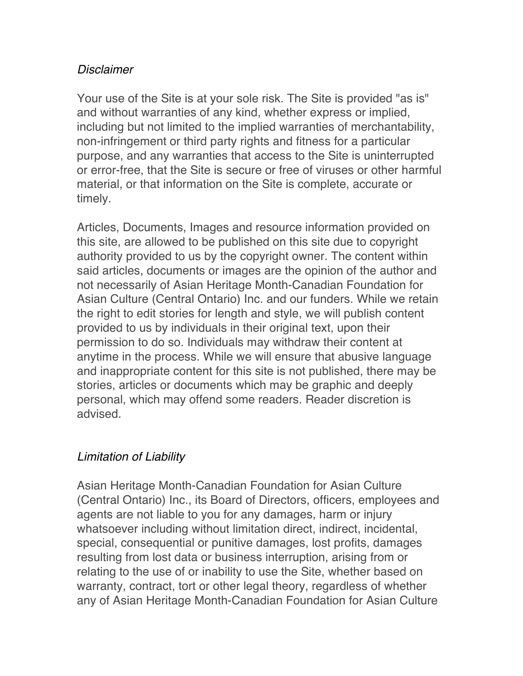### *Disclaimer*

Your use of the Site is at your sole risk. The Site is provided "as is" and without warranties of any kind, whether express or implied, including but not limited to the implied warranties of merchantability, non-infringement or third party rights and fitness for a particular purpose, and any warranties that access to the Site is uninterrupted or error-free, that the Site is secure or free of viruses or other harmful material, or that information on the Site is complete, accurate or timely.

Articles, Documents, Images and resource information provided on this site, are allowed to be published on this site due to copyright authority provided to us by the copyright owner. The content within said articles, documents or images are the opinion of the author and not necessarily of Asian Heritage Month-Canadian Foundation for Asian Culture (Central Ontario) Inc. and our funders. While we retain the right to edit stories for length and style, we will publish content provided to us by individuals in their original text, upon their permission to do so. Individuals may withdraw their content at anytime in the process. While we will ensure that abusive language and inappropriate content for this site is not published, there may be stories, articles or documents which may be graphic and deeply personal, which may offend some readers. Reader discretion is advised.

## *Limitation of Liability*

Asian Heritage Month-Canadian Foundation for Asian Culture (Central Ontario) Inc., its Board of Directors, officers, employees and agents are not liable to you for any damages, harm or injury whatsoever including without limitation direct, indirect, incidental, special, consequential or punitive damages, lost profits, damages resulting from lost data or business interruption, arising from or relating to the use of or inability to use the Site, whether based on warranty, contract, tort or other legal theory, regardless of whether any of Asian Heritage Month-Canadian Foundation for Asian Culture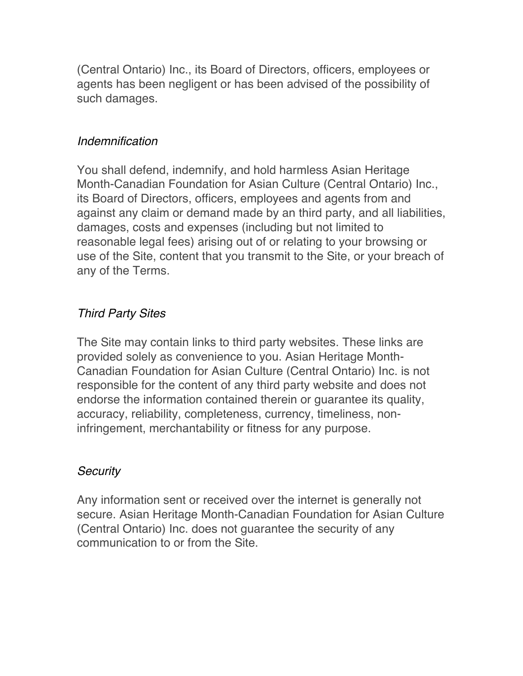(Central Ontario) Inc., its Board of Directors, officers, employees or agents has been negligent or has been advised of the possibility of such damages.

#### *Indemnification*

You shall defend, indemnify, and hold harmless Asian Heritage Month-Canadian Foundation for Asian Culture (Central Ontario) Inc., its Board of Directors, officers, employees and agents from and against any claim or demand made by an third party, and all liabilities, damages, costs and expenses (including but not limited to reasonable legal fees) arising out of or relating to your browsing or use of the Site, content that you transmit to the Site, or your breach of any of the Terms.

# *Third Party Sites*

The Site may contain links to third party websites. These links are provided solely as convenience to you. Asian Heritage Month-Canadian Foundation for Asian Culture (Central Ontario) Inc. is not responsible for the content of any third party website and does not endorse the information contained therein or guarantee its quality, accuracy, reliability, completeness, currency, timeliness, noninfringement, merchantability or fitness for any purpose.

## *Security*

Any information sent or received over the internet is generally not secure. Asian Heritage Month-Canadian Foundation for Asian Culture (Central Ontario) Inc. does not guarantee the security of any communication to or from the Site.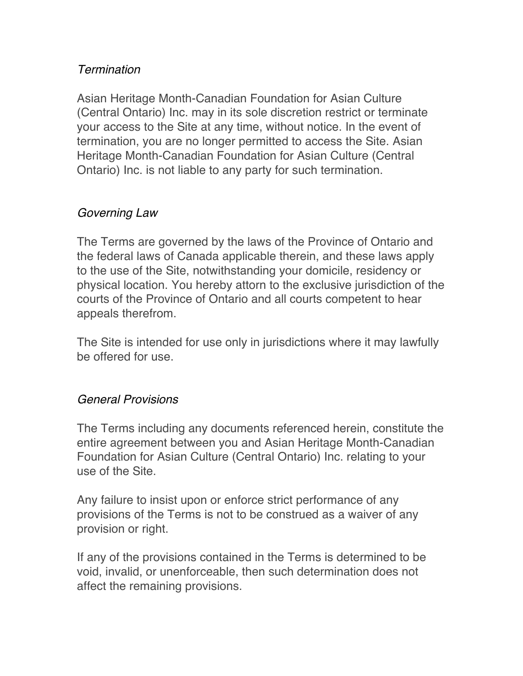### *Termination*

Asian Heritage Month-Canadian Foundation for Asian Culture (Central Ontario) Inc. may in its sole discretion restrict or terminate your access to the Site at any time, without notice. In the event of termination, you are no longer permitted to access the Site. Asian Heritage Month-Canadian Foundation for Asian Culture (Central Ontario) Inc. is not liable to any party for such termination.

### *Governing Law*

The Terms are governed by the laws of the Province of Ontario and the federal laws of Canada applicable therein, and these laws apply to the use of the Site, notwithstanding your domicile, residency or physical location. You hereby attorn to the exclusive jurisdiction of the courts of the Province of Ontario and all courts competent to hear appeals therefrom.

The Site is intended for use only in jurisdictions where it may lawfully be offered for use.

#### *General Provisions*

The Terms including any documents referenced herein, constitute the entire agreement between you and Asian Heritage Month-Canadian Foundation for Asian Culture (Central Ontario) Inc. relating to your use of the Site.

Any failure to insist upon or enforce strict performance of any provisions of the Terms is not to be construed as a waiver of any provision or right.

If any of the provisions contained in the Terms is determined to be void, invalid, or unenforceable, then such determination does not affect the remaining provisions.